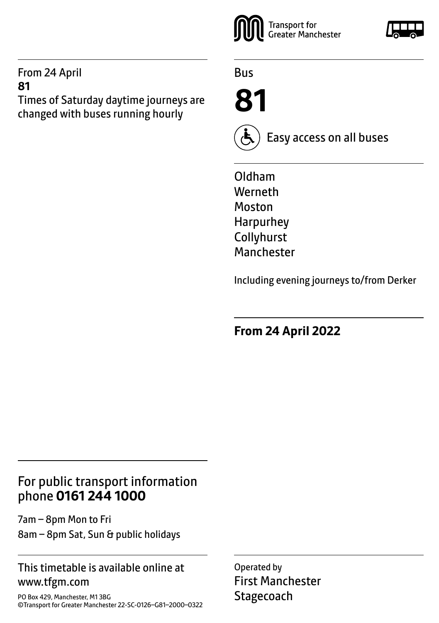### From 24 April **81**

Times of Saturday daytime journeys are changed with buses running hourly



Bus





Easy access on all buses

Oldham Werneth Moston Harpurhey Collyhurst Manchester

Including evening journeys to/from Derker

**From 24 April 2022**

# For public transport information phone **0161 244 1000**

7am – 8pm Mon to Fri 8am – 8pm Sat, Sun & public holidays

# This timetable is available online at www.tfgm.com

PO Box 429, Manchester, M1 3BG ©Transport for Greater Manchester 22-SC-0126–G81–2000–0322 Operated by First Manchester **Stagecoach**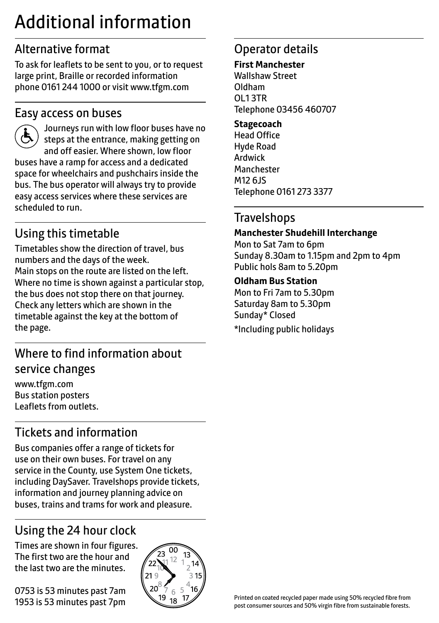# Additional information

# Alternative format

To ask for leaflets to be sent to you, or to request large print, Braille or recorded information phone 0161 244 1000 or visit www.tfgm.com

# Easy access on buses



 Journeys run with low floor buses have no steps at the entrance, making getting on and off easier. Where shown, low floor buses have a ramp for access and a dedicated space for wheelchairs and pushchairs inside the bus. The bus operator will always try to provide easy access services where these services are scheduled to run.

# Using this timetable

Timetables show the direction of travel, bus numbers and the days of the week. Main stops on the route are listed on the left. Where no time is shown against a particular stop, the bus does not stop there on that journey. Check any letters which are shown in the timetable against the key at the bottom of the page.

# Where to find information about service changes

www.tfgm.com Bus station posters Leaflets from outlets.

# Tickets and information

Bus companies offer a range of tickets for use on their own buses. For travel on any service in the County, use System One tickets, including DaySaver. Travelshops provide tickets, information and journey planning advice on buses, trains and trams for work and pleasure.

# Using the 24 hour clock

Times are shown in four figures. The first two are the hour and the last two are the minutes.

0753 is 53 minutes past 7am 1953 is 53 minutes past 7pm



# Operator details

#### **First Manchester**

Wallshaw Street Oldham OL1 3TR Telephone 03456 460707

#### **Stagecoach**

Head Office Hyde Road Ardwick **Manchester** M12 6JS Telephone 0161 273 3377

# **Travelshops**

#### **Manchester Shudehill Interchange**

Mon to Sat 7am to 6pm Sunday 8.30am to 1.15pm and 2pm to 4pm Public hols 8am to 5.20pm

#### **Oldham Bus Station**

Mon to Fri 7am to 5.30pm Saturday 8am to 5.30pm Sunday\* Closed \*Including public holidays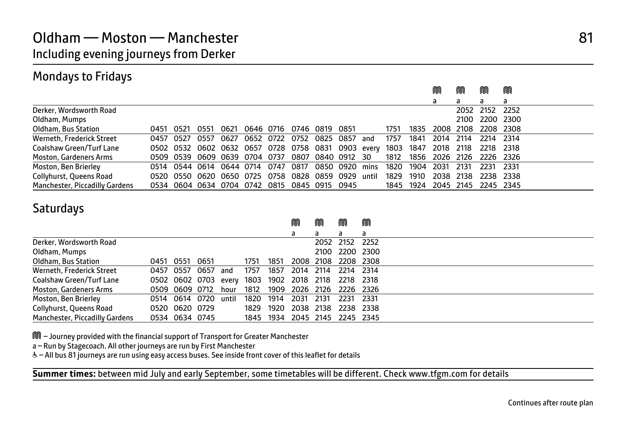# Mondays to Fridays

|                                |           |                                                                        |      |      |           |                   |           |                |     |           |      | M         | M    | M                        | M      |
|--------------------------------|-----------|------------------------------------------------------------------------|------|------|-----------|-------------------|-----------|----------------|-----|-----------|------|-----------|------|--------------------------|--------|
|                                |           |                                                                        |      |      |           |                   |           |                |     |           |      | a         |      | a                        | a      |
| Derker, Wordsworth Road        |           |                                                                        |      |      |           |                   |           |                |     |           |      |           |      | 2052 2152                | 2252   |
| Oldham, Mumps                  |           |                                                                        |      |      |           |                   |           |                |     |           |      |           |      | 2100 2200 2300           |        |
| Oldham, Bus Station            | 0451 0521 |                                                                        | 0551 | 0621 | 0646 0716 | 0746 0819 0851    |           |                |     | 1751      | 1835 | 2008      | 2108 | 2208 2308                |        |
| Werneth, Frederick Street      | 0457 0527 |                                                                        | 0557 | 0627 | 0652 0722 | 0752              | 0825 0857 |                | and | 1757      | 1841 | 2014      | 2114 | 2214                     | - 2314 |
| Coalshaw Green/Turf Lane       |           | 0502 0532 0602 0632 0657 0728 0758 0831 0903 every 1803 1847 2018 2118 |      |      |           |                   |           |                |     |           |      |           |      | 2218 2318                |        |
| Moston, Gardeners Arms         |           | 0509 0539 0609 0639 0704 0737                                          |      |      |           | 0807 0840 0912 30 |           |                |     | 1812      |      |           |      | 1856 2026 2126 2226 2326 |        |
| Moston, Ben Brierley           |           | 0514 0544 0614 0644 0714 0747                                          |      |      |           | 0817              |           | 0850 0920 mins |     | 1820      | 1904 | 2031      | 2131 | 2231                     | - 2331 |
| Collyhurst, Queens Road        |           | 0520 0550 0620 0650 0725 0758 0828 0859 0929 until 1829 1910           |      |      |           |                   |           |                |     |           |      | 2038 2138 |      | 2238 2338                |        |
| Manchester, Piccadilly Gardens |           | 0534 0604 0634 0704 0742 0815 0845 0915 0945                           |      |      |           |                   |           |                |     | 1845 1924 |      | 2045 2145 |      | 2245 2345                |        |

# **Saturdays**

|                                |      |                |      |       |      |           | M         | M         | M              | M    |  |  |
|--------------------------------|------|----------------|------|-------|------|-----------|-----------|-----------|----------------|------|--|--|
|                                |      |                |      |       |      |           | a         | a         | a              | a    |  |  |
| Derker, Wordsworth Road        |      |                |      |       |      |           |           | 2052      | 2152           | 2252 |  |  |
| Oldham, Mumps                  |      |                |      |       |      |           |           |           | 2100 2200 2300 |      |  |  |
| Oldham, Bus Station            | 0451 | 0551           | 0651 |       | 1751 | 1851      |           | 2008 2108 | 2208 2308      |      |  |  |
| Werneth, Frederick Street      |      | 0457 0557      | 0657 | and   | 1757 | 1857      | 2014      | 2114      | 2214 2314      |      |  |  |
| Coalshaw Green/Turf Lane       |      | 0502 0602 0703 |      | everv | 1803 | 1902      | 2018      | 2118      | 2218 2318      |      |  |  |
| <b>Moston, Gardeners Arms</b>  |      | 0509 0609 0712 |      | hour  | 1812 | 1909      | 2026 2126 |           | 2226 2326      |      |  |  |
| Moston, Ben Brierley           |      | 0514 0614 0720 |      | until | 1820 | 1914      | 2031      | 2131      | 2231           | 2331 |  |  |
| Collyhurst, Queens Road        |      | 0520 0620 0729 |      |       | 1829 | 1920      | 2038      | 2138      | 2238           | 2338 |  |  |
| Manchester, Piccadilly Gardens |      | 0534 0634 0745 |      |       |      | 1845 1934 | 2045 2145 |           | 2245 2345      |      |  |  |

M – Journey provided with the financial support of Transport for Greater Manchester

a – Run by Stagecoach. All other journeys are run by First Manchester

I

& - All bus 81 journeys are run using easy access buses. See inside front cover of this leaflet for details

**Summer times:** between mid July and early September, some timetables will be different. Check www.tfgm.com for details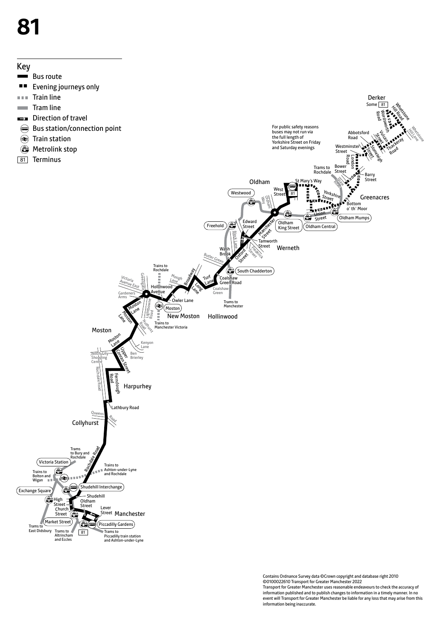# **81**



Contains Ordnance Survey data ©Crown copyright and database right 2010 ©0100022610 Transport for Greater Manchester 2022 Transport for Greater Manchester uses reasonable endeavours to check the accuracy of information published and to publish changes to information in a timely manner. In no event will Transport for Greater Manchester be liable for any loss that may arise from this information being inaccurate.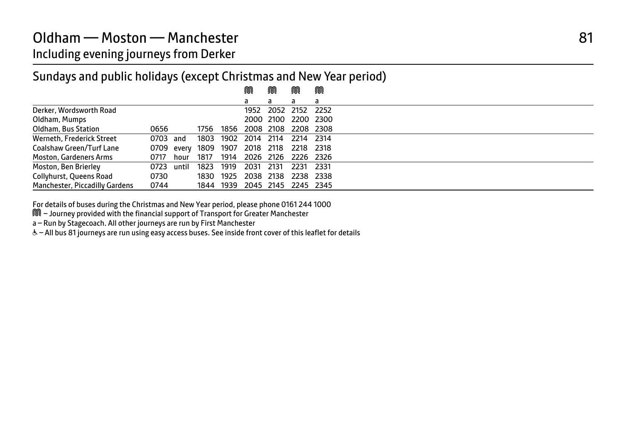# Sundays and public holidays (except Christmas and New Year period)

|                                |          |            |      |           | M                             | M         | M         | M         |  |
|--------------------------------|----------|------------|------|-----------|-------------------------------|-----------|-----------|-----------|--|
|                                |          |            |      |           | a                             | a         | a         | a         |  |
| Derker, Wordsworth Road        |          |            |      |           | 1952                          | 2052      | 2152      | 2252      |  |
| Oldham, Mumps                  |          |            |      |           |                               | 2000 2100 | 2200 2300 |           |  |
| Oldham, Bus Station            | 0656     |            | 1756 | 1856      | 2008 2108                     |           | 2208 2308 |           |  |
| Werneth, Frederick Street      | 0703 and |            | 1803 |           | 1902 2014                     | 2114      | 2214      | 2314      |  |
| Coalshaw Green/Turf Lane       |          | 0709 every |      | 1809 1907 | 2018 2118                     |           | 2218      | 2318      |  |
| <b>Moston, Gardeners Arms</b>  | 0717     | hour       | 1817 | 1914      | 2026 2126                     |           | 2226 2326 |           |  |
| Moston, Ben Brierley           | 0723     | until      | 1823 | 1919      | 2031                          | - 2131    | 2231      | - 2331    |  |
| Collyhurst, Queens Road        | 0730     |            | 1830 | 1925      | 2038 2138                     |           |           | 2238 2338 |  |
| Manchester, Piccadilly Gardens | 0744     |            |      |           | 1844 1939 2045 2145 2245 2345 |           |           |           |  |

For details of buses during the Christmas and New Year period, please phone 0161 244 1000 M<br>M – Journey provided with the financial support of Transport for Greater Manchester

a – Run by Stagecoach. All other journeys are run by First Manchester

W– All bus 81 journeys are run using easy access buses. See inside front cover of this leaflet for details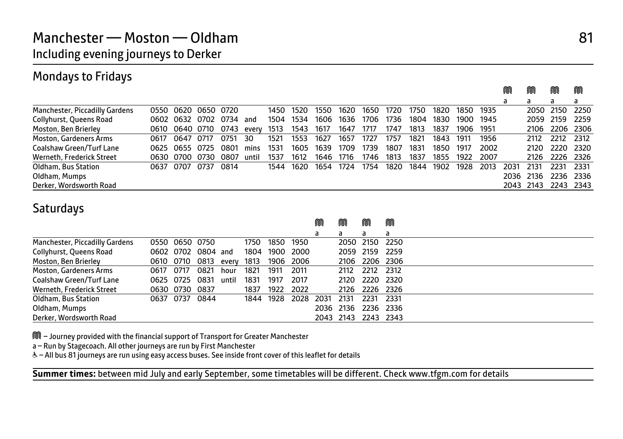# Mondays to Fridays

|                                |      |                |           |      |       |      |      |      |      |      |      |      |      |      |      | M    | M         | M         | M     |
|--------------------------------|------|----------------|-----------|------|-------|------|------|------|------|------|------|------|------|------|------|------|-----------|-----------|-------|
|                                |      |                |           |      |       |      |      |      |      |      |      |      |      |      |      | a    | a         | a         | a     |
| Manchester, Piccadilly Gardens | 0550 | 0620           | 0650 0720 |      |       | 1450 | 1520 | 1550 | 1620 | 1650 | 1720 | 1750 | 1820 | 1850 | 1935 |      |           | 2050 2150 | 2250  |
| Collyhurst, Queens Road        |      | 0602 0632 0702 |           | 0734 | and   | 1504 | 1534 | 1606 | 1636 | 1706 | 1736 | 1804 | 1830 | 1900 | 1945 |      |           | 2059 2159 | 2259  |
| Moston, Ben Brierley           | 0610 | 0640 0710 0743 |           |      | every | 1513 | 1543 | 1617 | 1647 | 1717 | 1747 | 1813 | 1837 | 1906 | 1951 |      | 2106      | 2206 2306 |       |
| <b>Moston, Gardeners Arms</b>  | 0617 | 0647           | 0717      | 0751 | 30    | 1521 | 1553 | 1627 | 1657 | 1727 | 1757 | 1821 | 1843 | 1911 | 1956 |      | 2112      | 2212 2312 |       |
| Coalshaw Green/Turf Lane       |      | 0625 0655 0725 |           | 0801 | mins  | 1531 | 1605 | 1639 | 1709 | 1739 | 1807 | 1831 | 1850 | 1917 | 2002 |      | 2120.     | 2220      | 2320  |
| Werneth, Frederick Street      |      | 0630 0700 0730 |           | 0807 | until | 1537 | 1612 | 1646 | 1716 | 1746 | 1813 | 1837 | 1855 | 1922 | 2007 |      | 2126.     | 2226      | 2326  |
| Oldham, Bus Station            |      | 0637 0707      | 0737      | 0814 |       | 1544 | 1620 | 1654 | 1724 | 1754 | 1820 | 1844 | 1902 | 1928 | 2013 | 2031 | 2131      | 2231      | 2331  |
| Oldham, Mumps                  |      |                |           |      |       |      |      |      |      |      |      |      |      |      |      | 2036 | 2136      | 2236      | 2336  |
| Derker, Wordsworth Road        |      |                |           |      |       |      |      |      |      |      |      |      |      |      |      |      | 2043 2143 | 2243      | -2343 |

# **Saturdays**

|                                |           |                |                    |       |      |      |      | M    | M         | M         | M                   |
|--------------------------------|-----------|----------------|--------------------|-------|------|------|------|------|-----------|-----------|---------------------|
|                                |           |                |                    |       |      |      |      | a    | a         | a         | a                   |
| Manchester, Piccadilly Gardens |           | 0550 0650 0750 |                    |       | 1750 | 1850 | 1950 |      |           | 2050 2150 | 2250                |
| Collyhurst, Queens Road        |           |                | 0602 0702 0804 and |       | 1804 | 1900 | 2000 |      | 2059 2159 |           | - 2259              |
| Moston, Ben Brierley           |           | 0610 0710      | 0813               | everv | 1813 | 1906 | 2006 |      |           |           | 2106 2206 2306      |
| <b>Moston, Gardeners Arms</b>  | 0617      | 0717           | 0821               | hour  | 1821 | 1911 | 2011 |      | 2112      | 2212 2312 |                     |
| Coalshaw Green/Turf Lane       | 0625 0725 |                | 0831               | until | 1831 | 1917 | 2017 |      | 2120      |           | 2220 2320           |
| Werneth, Frederick Street      |           | 0630 0730      | 0837               |       | 1837 | 1922 | 2022 |      |           |           | 2126 2226 2326      |
| Oldham, Bus Station            | 0637 0737 |                | 0844               |       | 1844 | 1928 | 2028 | 2031 | 2131      | 2231      | 2331                |
| Oldham, Mumps                  |           |                |                    |       |      |      |      | 2036 | 2136      |           | 2236 2336           |
| Derker, Wordsworth Road        |           |                |                    |       |      |      |      |      |           |           | 2043 2143 2243 2343 |

M – Journey provided with the financial support of Transport for Greater Manchester

a – Run by Stagecoach. All other journeys are run by First Manchester

I

& - All bus 81 journeys are run using easy access buses. See inside front cover of this leaflet for details

**Summer times:** between mid July and early September, some timetables will be different. Check www.tfgm.com for details